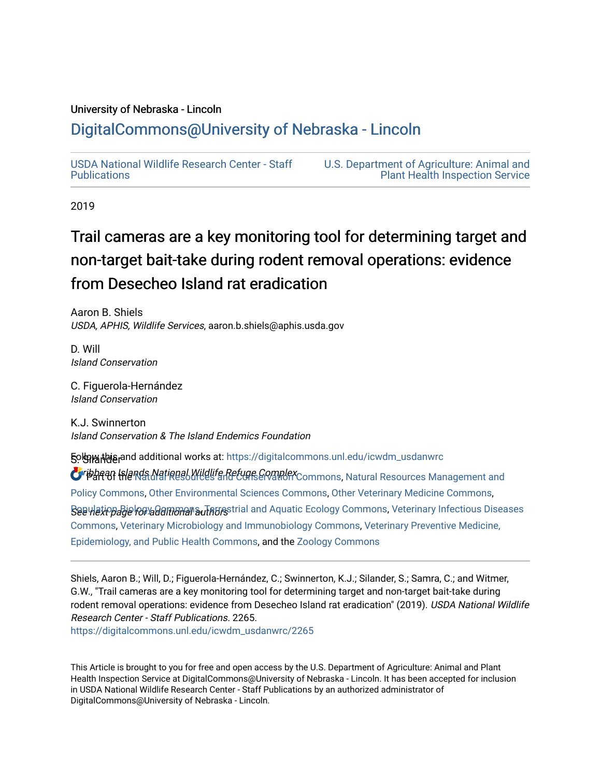# University of Nebraska - Lincoln

# [DigitalCommons@University of Nebraska - Lincoln](https://digitalcommons.unl.edu/)

[USDA National Wildlife Research Center - Staff](https://digitalcommons.unl.edu/icwdm_usdanwrc)  [Publications](https://digitalcommons.unl.edu/icwdm_usdanwrc) 

[U.S. Department of Agriculture: Animal and](https://digitalcommons.unl.edu/usdaaphis)  [Plant Health Inspection Service](https://digitalcommons.unl.edu/usdaaphis) 

2019

# Trail cameras are a key monitoring tool for determining target and non-target bait-take during rodent r e moval operations: evidence from Desecheo Island rat eradication

Aaron B. Shiels USDA, APHIS, Wildlife Services, aaron.b.shiels@aphis.usda.gov

D. Will Island Conservation

C. Figuerola-Hernández Island Conservation

K.J. Swinnerton Island Conservation & The Island Endemics Foundation

DigitalCommons@University of Nebraska - Lincoln.

**50lgiw this and additional works at:** [https://digitalcommons.unl.edu/icwdm\\_usdanwrc](https://digitalcommons.unl.edu/icwdm_usdanwrc?utm_source=digitalcommons.unl.edu%2Ficwdm_usdanwrc%2F2265&utm_medium=PDF&utm_campaign=PDFCoverPages)

Oribbean Islands National Wildlife Refuge Complex Commons, [Natural Resources Management and](http://network.bepress.com/hgg/discipline/170?utm_source=digitalcommons.unl.edu%2Ficwdm_usdanwrc%2F2265&utm_medium=PDF&utm_campaign=PDFCoverPages) [Policy Commons](http://network.bepress.com/hgg/discipline/170?utm_source=digitalcommons.unl.edu%2Ficwdm_usdanwrc%2F2265&utm_medium=PDF&utm_campaign=PDFCoverPages), [Other Environmental Sciences Commons](http://network.bepress.com/hgg/discipline/173?utm_source=digitalcommons.unl.edu%2Ficwdm_usdanwrc%2F2265&utm_medium=PDF&utm_campaign=PDFCoverPages), [Other Veterinary Medicine Commons](http://network.bepress.com/hgg/discipline/771?utm_source=digitalcommons.unl.edu%2Ficwdm_usdanwrc%2F2265&utm_medium=PDF&utm_campaign=PDFCoverPages),

 $\cal B$ aeฟe $\it k$ iopa $\it B$ iel $\it k$ ayaal ane alial and Aquatic Ecology Commons, Veterinary Infectious Diseases [Commons](http://network.bepress.com/hgg/discipline/770?utm_source=digitalcommons.unl.edu%2Ficwdm_usdanwrc%2F2265&utm_medium=PDF&utm_campaign=PDFCoverPages), [Veterinary Microbiology and Immunobiology Commons,](http://network.bepress.com/hgg/discipline/763?utm_source=digitalcommons.unl.edu%2Ficwdm_usdanwrc%2F2265&utm_medium=PDF&utm_campaign=PDFCoverPages) [Veterinary Preventive Medicine,](http://network.bepress.com/hgg/discipline/769?utm_source=digitalcommons.unl.edu%2Ficwdm_usdanwrc%2F2265&utm_medium=PDF&utm_campaign=PDFCoverPages)  [Epidemiology, and Public Health Commons,](http://network.bepress.com/hgg/discipline/769?utm_source=digitalcommons.unl.edu%2Ficwdm_usdanwrc%2F2265&utm_medium=PDF&utm_campaign=PDFCoverPages) and the [Zoology Commons](http://network.bepress.com/hgg/discipline/81?utm_source=digitalcommons.unl.edu%2Ficwdm_usdanwrc%2F2265&utm_medium=PDF&utm_campaign=PDFCoverPages)

Shiels, Aaron B.; Will, D.; Figuerola-Hernández, C.; Swinnerton, K.J.; Silander, S.; Samra, C.; and Witmer, G.W., "Trail cameras are a key monitoring tool for determining target and non-target bait-take during rodent removal operations: evidence from Desecheo Island rat eradication" (2019). USDA National Wildlife Research Center - Staff Publications. 2265. [https://digitalcommons.unl.edu/icwdm\\_usdanwrc/2265](https://digitalcommons.unl.edu/icwdm_usdanwrc/2265?utm_source=digitalcommons.unl.edu%2Ficwdm_usdanwrc%2F2265&utm_medium=PDF&utm_campaign=PDFCoverPages) 

This Article is brought to you for free and open access by the U.S. Department of Agriculture: Animal and Plant Health Inspection Service at DigitalCommons@University of Nebraska - Lincoln. It has been accepted for inclusion

in USDA National Wildlife Research Center - Staff Publications by an authorized administrator of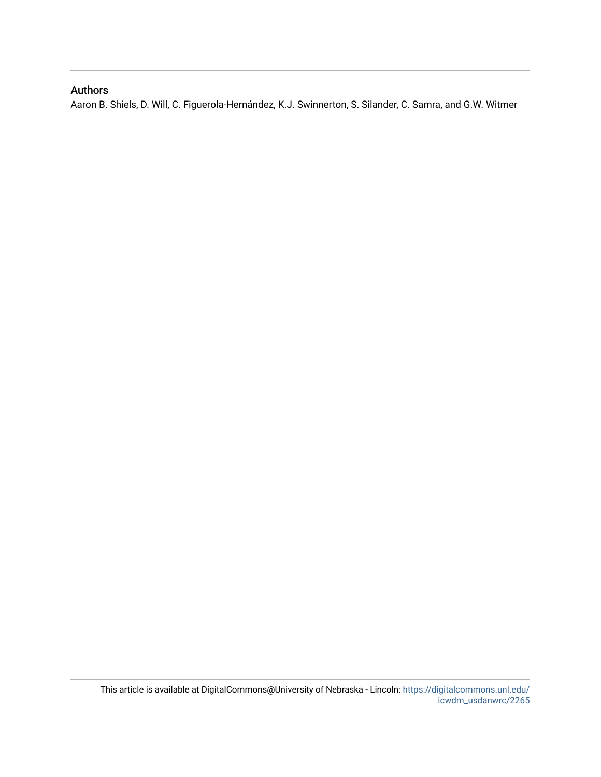# Authors

Aaron B. Shiels, D. Will, C. Figuerola-Hernández, K.J. Swinnerton, S. Silander, C. Samra, and G.W. Witmer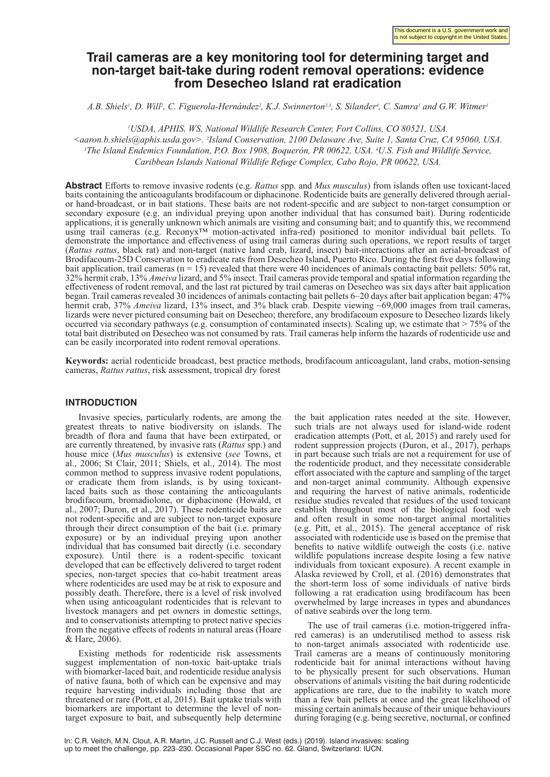# **Trail cameras are a key monitoring tool for determining target and non-target bait-take during rodent removal operations: evidence from Desecheo Island rat eradication**

*A.B. Shiels<sup>1</sup>, D. Will<sup>2</sup>, C. Figuerola-Hernández<sup>2</sup>, K.J. Swinnerton<sup>2,3</sup>, S. Silander<sup>4</sup>, C. Samra<sup>1</sup> and G.W. Witmer<sup>1</sup>* 

*1 USDA, APHIS, WS, National Wildlife Research Center, Fort Collins, CO 80521, USA.* 

*<aaron.b.shiels@aphis.usda.gov>. 2 Island Conservation, 2100 Delaware Ave, Suite 1, Santa Cruz, CA 95060, USA. 3 The Island Endemics Foundation, P.O. Box 1908, Boquerón, PR 00622, USA. 4 U.S. Fish and Wildlife Service, Caribbean Islands National Wildlife Refuge Complex, Cabo Rojo, PR 00622, USA.*

**Abstract** Efforts to remove invasive rodents (e.g. *Rattus* spp. and *Mus musculus*) from islands often use toxicant-laced baits containing the anticoagulants brodifacoum or diphacinone. Rodenticide baits are generally delivered through aerialor hand-broadcast, or in bait stations. These baits are not rodent-specific and are subject to non-target consumption or secondary exposure (e.g. an individual preying upon another individual that has consumed bait). During rodenticide applications, it is generally unknown which animals are visiting and consuming bait; and to quantify this, we recommend using trail cameras (e.g. Reconyx™ motion-activated infra-red) positioned to monitor individual bait pellets. To demonstrate the importance and effectiveness of using trail cameras during such operations, we report results of target (*Rattus rattus*, black rat) and non-target (native land crab, lizard, insect) bait-interactions after an aerial-broadcast of Brodifacoum-25D Conservation to eradicate rats from Desecheo Island, Puerto Rico. During the first five days following bait application, trail cameras ( $n = 15$ ) revealed that there were 40 incidences of animals contacting bait pellets: 50% rat, 32% hermit crab, 13% *Ameiva* lizard, and 5% insect. Trail cameras provide temporal and spatial information regarding the effectiveness of rodent removal, and the last rat pictured by trail cameras on Desecheo was six days after bait application began. Trail cameras revealed 30 incidences of animals contacting bait pellets 6–20 days after bait application began: 47% hermit crab, 37% *Ameiva* lizard, 13% insect, and 3% black crab. Despite viewing ~69,000 images from trail cameras, lizards were never pictured consuming bait on Desecheo; therefore, any brodifacoum exposure to Desecheo lizards likely occurred via secondary pathways (e.g. consumption of contaminated insects). Scaling up, we estimate that > 75% of the total bait distributed on Desecheo was not consumed by rats. Trail cameras help inform the hazards of rodenticide use and can be easily incorporated into rodent removal operations.

**Keywords:** aerial rodenticide broadcast, best practice methods, brodifacoum anticoagulant, land crabs, motion-sensing cameras, *Rattus rattus*, risk assessment, tropical dry forest

# **INTRODUCTION**

Invasive species, particularly rodents, are among the greatest threats to native biodiversity on islands. The breadth of flora and fauna that have been extirpated, or are currently threatened, by invasive rats (*Rattus* spp.) and house mice (*Mus musculus*) is extensive (*see* Towns, et al., 2006; St Clair, 2011; Shiels, et al., 2014). The most common method to suppress invasive rodent populations, or eradicate them from islands, is by using toxicantlaced baits such as those containing the anticoagulants brodifacoum, bromadiolone, or diphacinone (Howald, et al., 2007; Duron, et al., 2017). These rodenticide baits are not rodent-specific and are subject to non-target exposure through their direct consumption of the bait (i.e. primary exposure) or by an individual preying upon another individual that has consumed bait directly (i.e. secondary exposure). Until there is a rodent-specific toxicant developed that can be effectively delivered to target rodent species, non-target species that co-habit treatment areas where rodenticides are used may be at risk to exposure and possibly death. Therefore, there is a level of risk involved when using anticoagulant rodenticides that is relevant to livestock managers and pet owners in domestic settings, and to conservationists attempting to protect native species from the negative effects of rodents in natural areas (Hoare & Hare,  $2006$ ).

Existing methods for rodenticide risk assessments suggest implementation of non-toxic bait-uptake trials with biomarker-laced bait, and rodenticide residue analysis of native fauna, both of which can be expensive and may require harvesting individuals including those that are threatened or rare (Pott, et al, 2015). Bait uptake trials with biomarkers are important to determine the level of nontarget exposure to bait, and subsequently help determine

the bait application rates needed at the site. However, such trials are not always used for island-wide rodent eradication attempts (Pott, et al, 2015) and rarely used for rodent suppression projects (Duron, et al., 2017), perhaps in part because such trials are not a requirement for use of the rodenticide product, and they necessitate considerable effort associated with the capture and sampling of the target and non-target animal community. Although expensive and requiring the harvest of native animals, rodenticide residue studies revealed that residues of the used toxicant establish throughout most of the biological food web and often result in some non-target animal mortalities (e.g. Pitt, et al., 2015). The general acceptance of risk associated with rodenticide use is based on the premise that benefits to native wildlife outweigh the costs (i.e. native wildlife populations increase despite losing a few native individuals from toxicant exposure). A recent example in Alaska reviewed by Croll, et al. (2016) demonstrates that the short-term loss of some individuals of native birds following a rat eradication using brodifacoum has been overwhelmed by large increases in types and abundances of native seabirds over the long term.

The use of trail cameras (i.e. motion-triggered infrared cameras) is an underutilised method to assess risk to non-target animals associated with rodenticide use. Trail cameras are a means of continuously monitoring rodenticide bait for animal interactions without having to be physically present for such observations. Human observations of animals visiting the bait during rodenticide applications are rare, due to the inability to watch more than a few bait pellets at once and the great likelihood of missing certain animals because of their unique behaviours during foraging (e.g. being secretive, nocturnal, or confined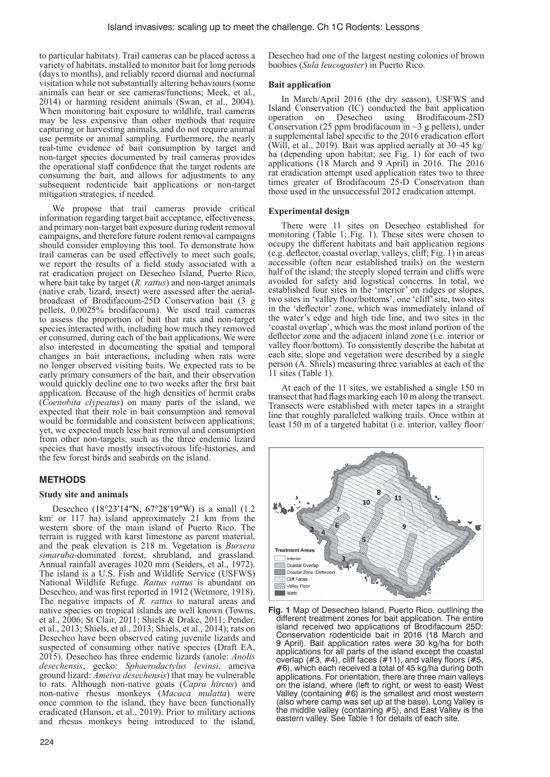to particular habitats). Trail cameras can be placed across a variety of habitats, installed to monitor bait for long periods (days to months), and reliably record diurnal and nocturnal visitation while not substantially altering behaviours (some animals can hear or see cameras/functions; Meek, et al., 2014) or harming resident animals (Swan, et al., 2004). When monitoring bait exposure to wildlife, trail cameras may be less expensive than other methods that require capturing or harvesting animals, and do not require animal use permits or animal sampling. Furthermore, the nearly real-time evidence of bait consumption by target and non-target species documented by trail cameras provides the operational staff confidence that the target rodents are consuming the bait, and allows for adjustments to any subsequent rodenticide bait applications or non-target mitigation strategies, if needed.

We propose that trail cameras provide critical information regarding target bait acceptance, effectiveness, and primary non-target bait exposure during rodent removal campaigns, and therefore future rodent removal campaigns should consider employing this tool. To demonstrate how trail cameras can be used effectively to meet such goals, we report the results of a field study associated with a rat eradication project on Desecheo Island, Puerto Rico, where bait take by target (*R. rattus*) and non-target animals (native crab, lizard, insect) were assessed after the aerialbroadcast of Brodifacoum-25D Conservation bait (3 g pellets, 0.0025% brodifacoum). We used trail cameras to assess the proportion of bait that rats and non-target species interacted with, including how much they removed or consumed, during each of the bait applications. We were also interested in documenting the spatial and temporal changes in bait interactions, including when rats were no longer observed visiting baits. We expected rats to be early primary consumers of the bait, and their observation would quickly decline one to two weeks after the first bait application. Because of the high densities of hermit crabs (*Coenobita clypeatus*) on many parts of the island, we expected that their role in bait consumption and removal would be formidable and consistent between applications; yet, we expected much less bait removal and consumption from other non-targets, such as the three endemic lizard species that have mostly insectivorous life-histories, and the few forest birds and seabirds on the island.

## **METHODS**

#### **Study site and animals**

Desecheo (18°23′14″N, 67°28′19″W) is a small (1.2 km2 or 117 ha) island approximately 21 km from the western shore of the main island of Puerto Rico. The terrain is rugged with karst limestone as parent material, and the peak elevation is 218 m. Vegetation is *Bursera simaruba*-dominated forest, shrubland, and grassland. Annual rainfall averages 1020 mm (Seiders, et al., 1972). The island is a U.S. Fish and Wildlife Service (USFWS) National Wildlife Refuge. *Rattus rattus* is abundant on Desecheo, and was first reported in 1912 (Wetmore, 1918). The negative impacts of *R. rattus* to natural areas and native species on tropical islands are well known (Towns, et al., 2006; St Clair, 2011; Shiels & Drake, 2011; Pender, et al., 2013; Shiels, et al., 2013; Shiels, et al., 2014); rats on Desecheo have been observed eating juvenile lizards and suspected of consuming other native species (Draft EA, 2015). Desecheo has three endemic lizards (anole: *Anolis desechensis*, gecko: *Sphaerodactylus levinsi*, ameiva ground lizard: *Ameiva desechensis*) that may be vulnerable to rats. Although non-native goats (*Capra hircus*) and non-native rhesus monkeys (*Macaca mulatta*) were once common to the island, they have been functionally eradicated (Hanson, et al., 2019). Prior to military actions and rhesus monkeys being introduced to the island,

Desecheo had one of the largest nesting colonies of brown boobies (*Sula leucogaster*) in Puerto Rico.

#### **Bait application**

In March/April 2016 (the dry season), USFWS and Island Conservation (IC) conducted the bait application operation on Desecheo using Brodifacoum-25D Conservation (25 ppm brodifacoum in  $\sim$ 3 g pellets), under a supplemental label specific to the 2016 eradication effort (Will, et al., 2019). Bait was applied aerially at 30–45 kg/ ha (depending upon habitat; see Fig. 1) for each of two applications (18 March and 9 April) in 2016. The 2016 rat eradication attempt used application rates two to three times greater of Brodifacoum 25-D Conservation than those used in the unsuccessful 2012 eradication attempt.

#### **Experimental design**

There were 11 sites on Desecheo established for monitoring (Table 1; Fig. 1). These sites were chosen to occupy the different habitats and bait application regions  $(e.g.$  deflector, coastal overlap, valleys,  $\tilde{cliff}$ ; Fig. 1) in areas accessible (often near established trails) on the western half of the island; the steeply sloped terrain and cliffs were avoided for safety and logistical concerns. In total, we established four sites in the 'interior' on ridges or slopes, two sites in 'valley floor/bottoms', one 'cliff' site, two sites in the 'deflector' zone, which was immediately inland of the water's edge and high tide line, and two sites in the 'coastal overlap', which was the most inland portion of the deflector zone and the adjacent inland zone (i.e. interior or valley floor/bottom). To consistently describe the habitat at each site, slope and vegetation were described by a single person (A. Shiels) measuring three variables at each of the 11 sites (Table 1).

At each of the 11 sites, we established a single 150 m transect that had flags marking each 10 m along the transect. Transects were established with meter tapes in a straight line that roughly paralleled walking trails. Once within at least 150 m of a targeted habitat (i.e. interior, valley floor/



**Fig. 1** Map of Desecheo Island, Puerto Rico, outlining the different treatment zones for bait application. The entire island received two applications of Brodifacoum 25D: Conservation rodenticide bait in 2016 (18 March and 9 April). Bait application rates were 30 kg/ha for both applications for all parts of the island except the coastal overlap  $(#3, #4)$ , cliff faces  $(#11)$ , and valley floors  $(#5,$ #6), which each received a total of 45 kg/ha during both applications. For orientation, there are three main valleys on the island, where (left to right, or west to east) West Valley (containing #6) is the smallest and most western (also where camp was set up at the base), Long Valley is the middle valley (containing #5), and East Valley is the eastern valley. See Table 1 for details of each site.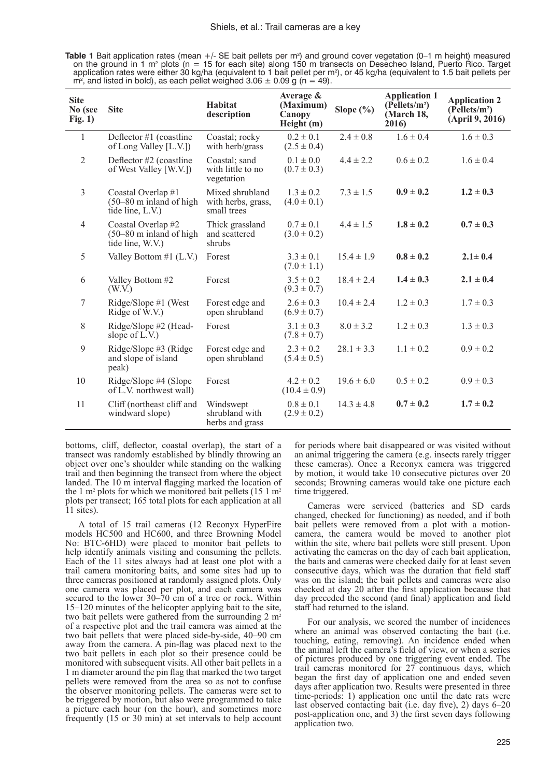**Table 1** Bait application rates (mean +/- SE bait pellets per m<sup>2</sup>) and ground cover vegetation (0–1 m height) measured on the ground in 1 m<sup>2</sup> plots (n = 15 for each site) along 150 m transects on Desecheo Island, Puerto Rico. Target application rates were either 30 kg/ha (equivalent to 1 bait pellet per m2 ), or 45 kg/ha (equivalent to 1.5 bait pellets per  $m^2$ , and listed in bold), as each pellet weighed 3.06  $\pm$  0.09 g (n = 49).

| <b>Site</b><br>No (see<br>Fig. 1) | <b>Site</b>                                                                 | <b>Habitat</b><br>description                        | Average &<br>(Maximum)<br>Canopy<br>Height(m) | Slope $(\% )$  | <b>Application 1</b><br>$(P{\text{ellets}}/m^2)$<br>(March 18,<br>2016) | <b>Application 2</b><br>$(P{\text{ellets}}/m^2)$<br>(April 9, 2016) |
|-----------------------------------|-----------------------------------------------------------------------------|------------------------------------------------------|-----------------------------------------------|----------------|-------------------------------------------------------------------------|---------------------------------------------------------------------|
| $\mathbf{1}$                      | Deflector $#1$ (coastline<br>of Long Valley [L.V.])                         | Coastal; rocky<br>with herb/grass                    | $0.2 \pm 0.1$<br>$(2.5 \pm 0.4)$              | $2.4 \pm 0.8$  | $1.6 \pm 0.4$                                                           | $1.6 \pm 0.3$                                                       |
| $\overline{2}$                    | Deflector #2 (coastline<br>of West Valley [W.V.])                           | Coastal: sand<br>with little to no<br>vegetation     | $0.1 \pm 0.0$<br>$(0.7 \pm 0.3)$              | $4.4 \pm 2.2$  | $0.6 \pm 0.2$                                                           | $1.6 \pm 0.4$                                                       |
| 3                                 | Coastal Overlap #1<br>$(50-80 \text{ m}$ inland of high<br>tide line, L.V.) | Mixed shrubland<br>with herbs, grass,<br>small trees | $1.3 \pm 0.2$<br>$(4.0 \pm 0.1)$              | $7.3 \pm 1.5$  | $0.9 \pm 0.2$                                                           | $1.2 \pm 0.3$                                                       |
| $\overline{4}$                    | Coastal Overlap #2<br>$(50-80 \text{ m}$ inland of high<br>tide line, W.V.) | Thick grassland<br>and scattered<br>shrubs           | $0.7 \pm 0.1$<br>$(3.0 \pm 0.2)$              | $4.4 \pm 1.5$  | $1.8 \pm 0.2$                                                           | $0.7 \pm 0.3$                                                       |
| 5                                 | Valley Bottom $#1$ (L.V.)                                                   | Forest                                               | $3.3 \pm 0.1$<br>$(7.0 \pm 1.1)$              | $15.4 \pm 1.9$ | $0.8 \pm 0.2$                                                           | $2.1 \pm 0.4$                                                       |
| 6                                 | Valley Bottom #2<br>(W.V.)                                                  | Forest                                               | $3.5 \pm 0.2$<br>$(9.3 \pm 0.7)$              | $18.4 \pm 2.4$ | $1.4 \pm 0.3$                                                           | $2.1 \pm 0.4$                                                       |
| 7                                 | $Ridge/Slope #1$ (West<br>Ridge of W.V.)                                    | Forest edge and<br>open shrubland                    | $2.6 \pm 0.3$<br>$(6.9 \pm 0.7)$              | $10.4 \pm 2.4$ | $1.2 \pm 0.3$                                                           | $1.7 \pm 0.3$                                                       |
| 8                                 | Ridge/Slope #2 (Head-<br>slope of $L.V.$ )                                  | Forest                                               | $3.1 \pm 0.3$<br>$(7.8 \pm 0.7)$              | $8.0 \pm 3.2$  | $1.2 \pm 0.3$                                                           | $1.3 \pm 0.3$                                                       |
| 9                                 | Ridge/Slope #3 (Ridge<br>and slope of island<br>peak)                       | Forest edge and<br>open shrubland                    | $2.3 \pm 0.2$<br>$(5.4 \pm 0.5)$              | $28.1 \pm 3.3$ | $1.1 \pm 0.2$                                                           | $0.9 \pm 0.2$                                                       |
| 10                                | Ridge/Slope #4 (Slope<br>of L.V. northwest wall)                            | Forest                                               | $4.2 \pm 0.2$<br>$(10.4 \pm 0.9)$             | $19.6 \pm 6.0$ | $0.5 \pm 0.2$                                                           | $0.9 \pm 0.3$                                                       |
| 11                                | Cliff (northeast cliff and<br>windward slope)                               | Windswept<br>shrubland with<br>herbs and grass       | $0.8 \pm 0.1$<br>$(2.9 \pm 0.2)$              | $14.3 \pm 4.8$ | $0.7 \pm 0.2$                                                           | $1.7 \pm 0.2$                                                       |

bottoms, cliff, deflector, coastal overlap), the start of a transect was randomly established by blindly throwing an object over one's shoulder while standing on the walking trail and then beginning the transect from where the object landed. The 10 m interval flagging marked the location of the 1 m<sup>2</sup> plots for which we monitored bait pellets (15 1 m<sup>2</sup> plots per transect; 165 total plots for each application at all 11 sites).

 A total of 15 trail cameras (12 Reconyx HyperFire models HC500 and HC600, and three Browning Model No: BTC-6HD) were placed to monitor bait pellets to help identify animals visiting and consuming the pellets. Each of the 11 sites always had at least one plot with a trail camera monitoring baits, and some sites had up to three cameras positioned at randomly assigned plots. Only one camera was placed per plot, and each camera was secured to the lower 30–70 cm of a tree or rock. Within 15–120 minutes of the helicopter applying bait to the site, two bait pellets were gathered from the surrounding  $2 m<sup>2</sup>$ of a respective plot and the trail camera was aimed at the two bait pellets that were placed side-by-side, 40–90 cm away from the camera. A pin-flag was placed next to the two bait pellets in each plot so their presence could be monitored with subsequent visits. All other bait pellets in a 1 m diameter around the pin flag that marked the two target pellets were removed from the area so as not to confuse the observer monitoring pellets. The cameras were set to be triggered by motion, but also were programmed to take a picture each hour (on the hour), and sometimes more frequently (15 or 30 min) at set intervals to help account for periods where bait disappeared or was visited without an animal triggering the camera (e.g. insects rarely trigger these cameras). Once a Reconyx camera was triggered by motion, it would take 10 consecutive pictures over 20 seconds; Browning cameras would take one picture each time triggered.

Cameras were serviced (batteries and SD cards changed, checked for functioning) as needed, and if both bait pellets were removed from a plot with a motioncamera, the camera would be moved to another plot within the site, where bait pellets were still present. Upon activating the cameras on the day of each bait application, the baits and cameras were checked daily for at least seven consecutive days, which was the duration that field staff was on the island; the bait pellets and cameras were also checked at day 20 after the first application because that day preceded the second (and final) application and field staff had returned to the island.

For our analysis, we scored the number of incidences where an animal was observed contacting the bait (i.e. touching, eating, removing). An incidence ended when the animal left the camera's field of view, or when a series of pictures produced by one triggering event ended. The trail cameras monitored for 27 continuous days, which began the first day of application one and ended seven days after application two. Results were presented in three time-periods: 1) application one until the date rats were last observed contacting bait (i.e. day five), 2) days  $6-20$ post-application one, and 3) the first seven days following application two.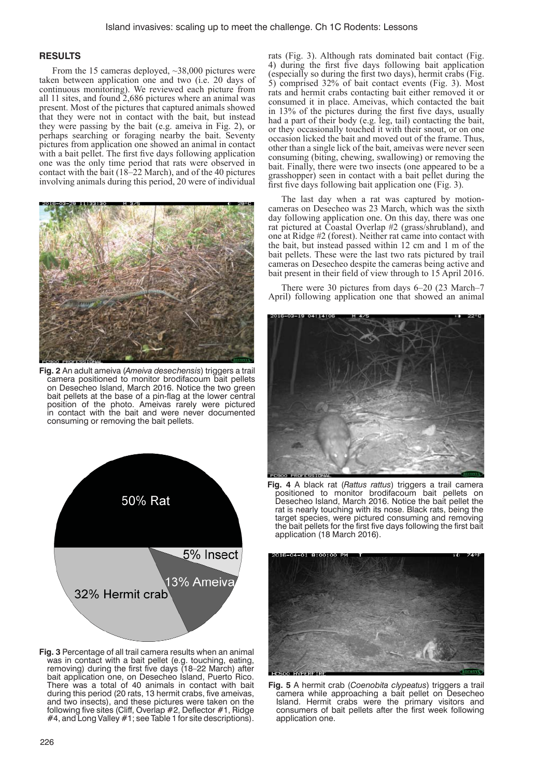## **RESULTS**

From the 15 cameras deployed, ~38,000 pictures were taken between application one and two (i.e. 20 days of continuous monitoring). We reviewed each picture from all 11 sites, and found 2,686 pictures where an animal was present. Most of the pictures that captured animals showed that they were not in contact with the bait, but instead they were passing by the bait (e.g. ameiva in Fig. 2), or perhaps searching or foraging nearby the bait. Seventy pictures from application one showed an animal in contact with a bait pellet. The first five days following application one was the only time period that rats were observed in contact with the bait (18–22 March), and of the 40 pictures involving animals during this period, 20 were of individual



**Fig. 2** An adult ameiva (*Ameiva desechensis*) triggers a trail camera positioned to monitor brodifacoum bait pellets on Desecheo Island, March 2016. Notice the two green bait pellets at the base of a pin-flag at the lower central position of the photo. Ameivas rarely were pictured in contact with the bait and were never documented consuming or removing the bait pellets.



**Fig. 3** Percentage of all trail camera results when an animal was in contact with a bait pellet (e.g. touching, eating, removing) during the first five days (18-22 March) after bait application one, on Desecheo Island, Puerto Rico. There was a total of 40 animals in contact with bait during this period (20 rats, 13 hermit crabs, five ameivas, and two insects), and these pictures were taken on the following five sites (Cliff, Overlap #2, Deflector #1, Ridge #4, and Long Valley #1; see Table 1 for site descriptions).

rats (Fig. 3). Although rats dominated bait contact (Fig. 4) during the first five days following bait application (especially so during the first two days), hermit crabs (Fig. 5) comprised 32% of bait contact events (Fig. 3). Most rats and hermit crabs contacting bait either removed it or consumed it in place. Ameivas, which contacted the bait in 13% of the pictures during the first five days, usually had a part of their body (e.g. leg, tail) contacting the bait, or they occasionally touched it with their snout, or on one occasion licked the bait and moved out of the frame. Thus, other than a single lick of the bait, ameivas were never seen consuming (biting, chewing, swallowing) or removing the bait. Finally, there were two insects (one appeared to be a grasshopper) seen in contact with a bait pellet during the first five days following bait application one (Fig. 3).

The last day when a rat was captured by motioncameras on Desecheo was 23 March, which was the sixth day following application one. On this day, there was one rat pictured at Coastal Overlap #2 (grass/shrubland), and one at Ridge #2 (forest). Neither rat came into contact with the bait, but instead passed within 12 cm and 1 m of the bait pellets. These were the last two rats pictured by trail cameras on Desecheo despite the cameras being active and bait present in their field of view through to 15 April 2016.

There were 30 pictures from days 6–20 (23 March–7 April) following application one that showed an animal



**Fig. 4** A black rat (*Rattus rattus*) triggers a trail camera positioned to monitor brodifacoum bait pellets on Desecheo Island, March 2016. Notice the bait pellet the rat is nearly touching with its nose. Black rats, being the target species, were pictured consuming and removing the bait pellets for the first five days following the first bait application (18 March 2016).



**Fig. 5** A hermit crab (*Coenobita clypeatus*) triggers a trail camera while approaching a bait pellet on Desecheo Island. Hermit crabs were the primary visitors and consumers of bait pellets after the first week following application one.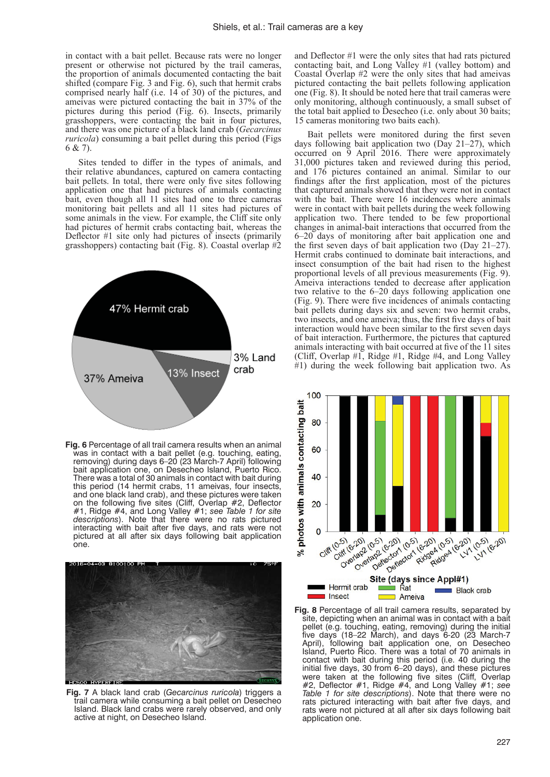in contact with a bait pellet. Because rats were no longer present or otherwise not pictured by the trail cameras, the proportion of animals documented contacting the bait shifted (compare Fig. 3 and Fig. 6), such that hermit crabs comprised nearly half (i.e. 14 of 30) of the pictures, and ameivas were pictured contacting the bait in 37% of the pictures during this period (Fig. 6). Insects, primarily grasshoppers, were contacting the bait in four pictures, and there was one picture of a black land crab (*Gecarcinus ruricola*) consuming a bait pellet during this period (Figs 6 & 7).

Sites tended to differ in the types of animals, and their relative abundances, captured on camera contacting bait pellets. In total, there were only five sites following application one that had pictures of animals contacting bait, even though all 11 sites had one to three cameras monitoring bait pellets and all 11 sites had pictures of some animals in the view. For example, the Cliff site only had pictures of hermit crabs contacting bait, whereas the Deflector  $#1$  site only had pictures of insects (primarily grasshoppers) contacting bait (Fig. 8). Coastal overlap #2



**Fig. 6** Percentage of all trail camera results when an animal was in contact with a bait pellet (e.g. touching, eating, removing) during days 6–20 (23 March-7 April) following bait application one, on Desecheo Island, Puerto Rico. There was a total of 30 animals in contact with bait during this period (14 hermit crabs, 11 ameivas, four insects, and one black land crab), and these pictures were taken on the following five sites (Cliff, Overlap #2, Deflector #1, Ridge #4, and Long Valley #1; *see Table 1 for site descriptions*). Note that there were no rats pictured interacting with bait after five days, and rats were not pictured at all after six days following bait application one.



**Fig. 7** A black land crab (*Gecarcinus ruricola*) triggers a trail camera while consuming a bait pellet on Desecheo Island. Black land crabs were rarely observed, and only active at night, on Desecheo Island.

and Deflector  $#1$  were the only sites that had rats pictured contacting bait, and Long Valley #1 (valley bottom) and Coastal Overlap #2 were the only sites that had ameivas pictured contacting the bait pellets following application one (Fig. 8). It should be noted here that trail cameras were only monitoring, although continuously, a small subset of the total bait applied to Desecheo (i.e. only about 30 baits; 15 cameras monitoring two baits each).

Bait pellets were monitored during the first seven days following bait application two (Day 21–27), which occurred on 9 April 2016. There were approximately 31,000 pictures taken and reviewed during this period, and 176 pictures contained an animal. Similar to our findings after the first application, most of the pictures that captured animals showed that they were not in contact with the bait. There were 16 incidences where animals were in contact with bait pellets during the week following application two. There tended to be few proportional changes in animal-bait interactions that occurred from the 6–20 days of monitoring after bait application one and the first seven days of bait application two (Day  $21-27$ ). Hermit crabs continued to dominate bait interactions, and insect consumption of the bait had risen to the highest proportional levels of all previous measurements (Fig. 9). Ameiva interactions tended to decrease after application two relative to the 6–20 days following application one (Fig. 9). There were five incidences of animals contacting bait pellets during days six and seven: two hermit crabs, two insects, and one ameiva; thus, the first five days of bait interaction would have been similar to the first seven days of bait interaction. Furthermore, the pictures that captured animals interacting with bait occurred at five of the 11 sites (Cliff, Overlap  $#1$ , Ridge  $#1$ , Ridge  $#4$ , and Long Valley #1) during the week following bait application two. As



**Fig. 8** Percentage of all trail camera results, separated by site, depicting when an animal was in contact with a bait pellet (e.g. touching, eating, removing) during the initial five days (18–22 March), and days 6-20 (23 March-7 April), following bait application one, on Desecheo Island, Puerto Rico. There was a total of 70 animals in contact with bait during this period (i.e. 40 during the initial five days, 30 from 6-20 days), and these pictures were taken at the following five sites (Cliff, Overlap #2, Defl ector #1, Ridge #4, and Long Valley #1; *see Table 1 for site descriptions*). Note that there were no rats pictured interacting with bait after five days, and rats were not pictured at all after six days following bait application one.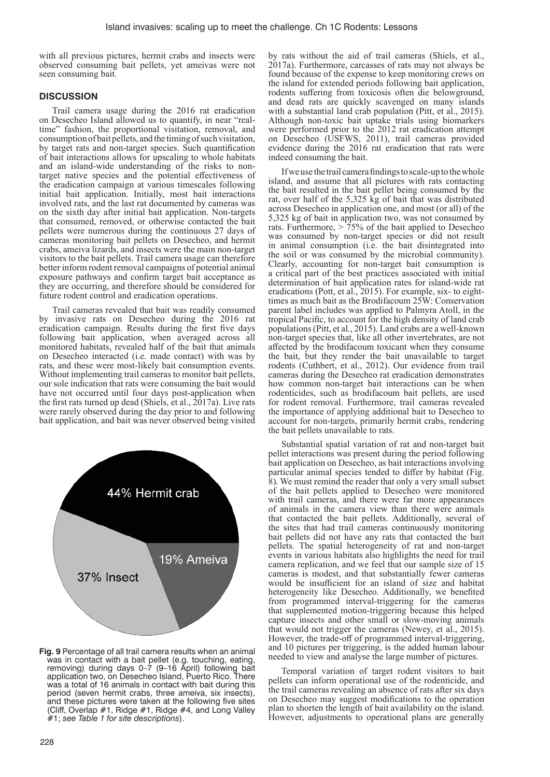with all previous pictures, hermit crabs and insects were observed consuming bait pellets, yet ameivas were not seen consuming bait.

# **DISCUSSION**

Trail camera usage during the 2016 rat eradication on Desecheo Island allowed us to quantify, in near "realtime" fashion, the proportional visitation, removal, and consumption of bait pellets, and the timing of such visitation, by target rats and non-target species. Such quantification of bait interactions allows for upscaling to whole habitats and an island-wide understanding of the risks to nontarget native species and the potential effectiveness of the eradication campaign at various timescales following initial bait application. Initially, most bait interactions involved rats, and the last rat documented by cameras was on the sixth day after initial bait application. Non-targets that consumed, removed, or otherwise contacted the bait pellets were numerous during the continuous 27 days of cameras monitoring bait pellets on Desecheo, and hermit crabs, ameiva lizards, and insects were the main non-target visitors to the bait pellets. Trail camera usage can therefore better inform rodent removal campaigns of potential animal exposure pathways and confirm target bait acceptance as they are occurring, and therefore should be considered for future rodent control and eradication operations.

Trail cameras revealed that bait was readily consumed by invasive rats on Desecheo during the 2016 rat eradication campaign. Results during the first five days following bait application, when averaged across all monitored habitats, revealed half of the bait that animals on Desecheo interacted (i.e. made contact) with was by rats, and these were most-likely bait consumption events. Without implementing trail cameras to monitor bait pellets, our sole indication that rats were consuming the bait would have not occurred until four days post-application when the first rats turned up dead (Shiels, et al.,  $2017a$ ). Live rats were rarely observed during the day prior to and following bait application, and bait was never observed being visited



**Fig. 9** Percentage of all trail camera results when an animal was in contact with a bait pellet (e.g. touching, eating, removing) during days 0–7 (9–16 April) following bait application two, on Desecheo Island, Puerto Rico. There was a total of 16 animals in contact with bait during this period (seven hermit crabs, three ameiva, six insects), and these pictures were taken at the following five sites (Cliff, Overlap  $#1$ , Ridge  $#1$ , Ridge  $#4$ , and Long Valley #1; *see Table 1 for site descriptions*).

by rats without the aid of trail cameras (Shiels, et al., 2017a). Furthermore, carcasses of rats may not always be found because of the expense to keep monitoring crews on the island for extended periods following bait application, rodents suffering from toxicosis often die belowground, and dead rats are quickly scavenged on many islands with a substantial land crab population (Pitt, et al., 2015). Although non-toxic bait uptake trials using biomarkers were performed prior to the 2012 rat eradication attempt on Desecheo (USFWS, 2011), trail cameras provided evidence during the 2016 rat eradication that rats were indeed consuming the bait.

If we use the trail camera findings to scale-up to the whole island, and assume that all pictures with rats contacting the bait resulted in the bait pellet being consumed by the rat, over half of the 5,325 kg of bait that was distributed across Desecheo in application one, and most (or all) of the 5,325 kg of bait in application two, was not consumed by rats. Furthermore,  $> 75\%$  of the bait applied to Desecheo was consumed by non-target species or did not result in animal consumption (i.e. the bait disintegrated into the soil or was consumed by the microbial community). Clearly, accounting for non-target bait consumption is a critical part of the best practices associated with initial determination of bait application rates for island-wide rat eradications (Pott, et al., 2015). For example, six- to eighttimes as much bait as the Brodifacoum 25W: Conservation parent label includes was applied to Palmyra Atoll, in the tropical Pacific, to account for the high density of land crab populations (Pitt, et al., 2015). Land crabs are a well-known non-target species that, like all other invertebrates, are not affected by the brodifacoum toxicant when they consume the bait, but they render the bait unavailable to target rodents (Cuthbert, et al., 2012). Our evidence from trail cameras during the Desecheo rat eradication demonstrates how common non-target bait interactions can be when rodenticides, such as brodifacoum bait pellets, are used for rodent removal. Furthermore, trail cameras revealed the importance of applying additional bait to Desecheo to account for non-targets, primarily hermit crabs, rendering the bait pellets unavailable to rats.

Substantial spatial variation of rat and non-target bait pellet interactions was present during the period following bait application on Desecheo, as bait interactions involving particular animal species tended to differ by habitat (Fig. 8). We must remind the reader that only a very small subset of the bait pellets applied to Desecheo were monitored with trail cameras, and there were far more appearances of animals in the camera view than there were animals that contacted the bait pellets. Additionally, several of the sites that had trail cameras continuously monitoring bait pellets did not have any rats that contacted the bait pellets. The spatial heterogeneity of rat and non-target events in various habitats also highlights the need for trail camera replication, and we feel that our sample size of 15 cameras is modest, and that substantially fewer cameras would be insufficient for an island of size and habitat heterogeneity like Desecheo. Additionally, we benefited from programmed interval-triggering for the cameras that supplemented motion-triggering because this helped capture insects and other small or slow-moving animals that would not trigger the cameras (Newey, et al., 2015). However, the trade-off of programmed interval-triggering, and 10 pictures per triggering, is the added human labour needed to view and analyse the large number of pictures.

Temporal variation of target rodent visitors to bait pellets can inform operational use of the rodenticide, and the trail cameras revealing an absence of rats after six days on Desecheo may suggest modifications to the operation plan to shorten the length of bait availability on the island. However, adjustments to operational plans are generally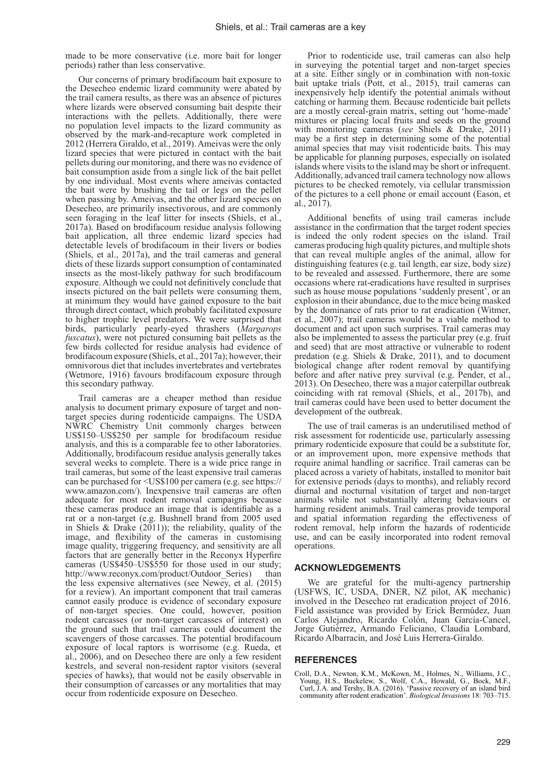made to be more conservative (i.e. more bait for longer periods) rather than less conservative.

Our concerns of primary brodifacoum bait exposure to the Desecheo endemic lizard community were abated by the trail camera results, as there was an absence of pictures where lizards were observed consuming bait despite their interactions with the pellets. Additionally, there were no population level impacts to the lizard community as observed by the mark-and-recapture work completed in 2012 (Herrera Giraldo, et al., 2019). Ameivas were the only lizard species that were pictured in contact with the bait pellets during our monitoring, and there was no evidence of bait consumption aside from a single lick of the bait pellet by one individual. Most events where ameivas contacted the bait were by brushing the tail or legs on the pellet when passing by. Ameivas, and the other lizard species on Desecheo, are primarily insectivorous, and are commonly seen foraging in the leaf litter for insects (Shiels, et al., 2017a). Based on brodifacoum residue analysis following bait application, all three endemic lizard species had detectable levels of brodifacoum in their livers or bodies (Shiels, et al., 2017a), and the trail cameras and general diets of these lizards support consumption of contaminated insects as the most-likely pathway for such brodifacoum exposure. Although we could not definitively conclude that insects pictured on the bait pellets were consuming them, at minimum they would have gained exposure to the bait through direct contact, which probably facilitated exposure to higher trophic level predators. We were surprised that birds, particularly pearly-eyed thrashers (*Margarops fuscatus*), were not pictured consuming bait pellets as the few birds collected for residue analysis had evidence of brodifacoum exposure (Shiels, et al., 2017a); however, their omnivorous diet that includes invertebrates and vertebrates (Wetmore, 1916) favours brodifacoum exposure through this secondary pathway.

Trail cameras are a cheaper method than residue analysis to document primary exposure of target and nontarget species during rodenticide campaigns. The USDA NWRC Chemistry Unit commonly charges between US\$150–US\$250 per sample for brodifacoum residue analysis, and this is a comparable fee to other laboratories. Additionally, brodifacoum residue analysis generally takes several weeks to complete. There is a wide price range in trail cameras, but some of the least expensive trail cameras can be purchased for <US\$100 per camera (e.g. see https:// www.amazon.com/). Inexpensive trail cameras are often adequate for most rodent removal campaigns because these cameras produce an image that is identifiable as a rat or a non-target (e.g. Bushnell brand from 2005 used in Shiels & Drake  $(2011)$ ; the reliability, quality of the image, and flexibility of the cameras in customising image quality, triggering frequency, and sensitivity are all factors that are generally better in the Reconyx Hyperfire cameras (US\$450–US\$550 for those used in our study; http://www.reconyx.com/product/Outdoor Series) than the less expensive alternatives (see Newey, et al. (2015) for a review). An important component that trail cameras cannot easily produce is evidence of secondary exposure of non-target species. One could, however, position rodent carcasses (or non-target carcasses of interest) on the ground such that trail cameras could document the scavengers of those carcasses. The potential brodifacoum exposure of local raptors is worrisome (e.g. Rueda, et al., 2006), and on Desecheo there are only a few resident kestrels, and several non-resident raptor visitors (several species of hawks), that would not be easily observable in their consumption of carcasses or any mortalities that may occur from rodenticide exposure on Desecheo.

Prior to rodenticide use, trail cameras can also help in surveying the potential target and non-target species at a site. Either singly or in combination with non-toxic bait uptake trials (Pott, et al., 2015), trail cameras can inexpensively help identify the potential animals without catching or harming them. Because rodenticide bait pellets are a mostly cereal-grain matrix, setting out 'home-made' mixtures or placing local fruits and seeds on the ground with monitoring cameras (*see* Shiels & Drake, 2011) may be a first step in determining some of the potential animal species that may visit rodenticide baits. This may be applicable for planning purposes, especially on isolated islands where visits to the island may be short or infrequent. Additionally, advanced trail camera technology now allows pictures to be checked remotely, via cellular transmission of the pictures to a cell phone or email account (Eason, et al., 2017).

Additional benefits of using trail cameras include assistance in the confirmation that the target rodent species is indeed the only rodent species on the island. Trail cameras producing high quality pictures, and multiple shots that can reveal multiple angles of the animal, allow for distinguishing features (e.g. tail length, ear size, body size) to be revealed and assessed. Furthermore, there are some occasions where rat-eradications have resulted in surprises such as house mouse populations 'suddenly present', or an explosion in their abundance, due to the mice being masked by the dominance of rats prior to rat eradication (Witmer, et al., 2007); trail cameras would be a viable method to document and act upon such surprises. Trail cameras may also be implemented to assess the particular prey (e.g. fruit and seed) that are most attractive or vulnerable to rodent predation (e.g. Shiels & Drake, 2011), and to document biological change after rodent removal by quantifying before and after native prey survival (e.g. Pender, et al., 2013). On Desecheo, there was a major caterpillar outbreak coinciding with rat removal (Shiels, et al., 2017b), and trail cameras could have been used to better document the development of the outbreak.

The use of trail cameras is an underutilised method of risk assessment for rodenticide use, particularly assessing primary rodenticide exposure that could be a substitute for, or an improvement upon, more expensive methods that require animal handling or sacrifice. Trail cameras can be placed across a variety of habitats, installed to monitor bait for extensive periods (days to months), and reliably record diurnal and nocturnal visitation of target and non-target animals while not substantially altering behaviours or harming resident animals. Trail cameras provide temporal and spatial information regarding the effectiveness of rodent removal, help inform the hazards of rodenticide use, and can be easily incorporated into rodent removal operations.

#### **ACKNOWLEDGEMENTS**

We are grateful for the multi-agency partnership (USFWS, IC, USDA, DNER, NZ pilot, AK mechanic) involved in the Desecheo rat eradication project of 2016. Field assistance was provided by Erick Bermúdez, Juan Carlos Alejandro, Ricardo Colón, Juan García-Cancel, Jorge Gutiérrez, Armando Feliciano, Claudia Lombard, Ricardo Albarracín, and José Luis Herrera-Giraldo.

## **REFERENCES**

Croll, D.A., Newton, K.M., McKown, M., Holmes, N., Williams, J.C., Young, H.S., Buckelew, S., Wolf, C.A., Howald, G., Bock, M.F., Curl, J.A. and Tershy, B.A. (2016). 'Passive recovery of an island bird community after rodent eradication'. *Biological Invasions* 18: 703–715.